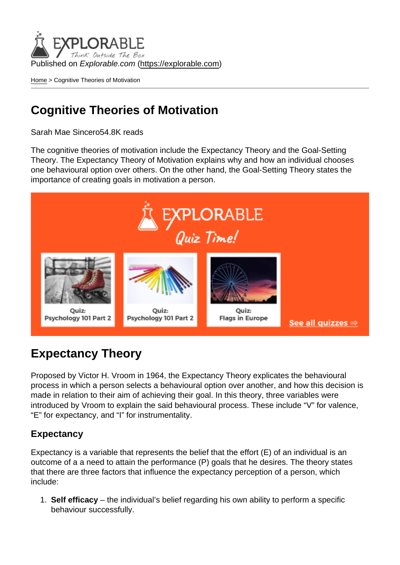Published on Explorable.com (<https://explorable.com>)

[Home](https://explorable.com/) > Cognitive Theories of Motivation

## Cognitive Theories of Motivation

Sarah Mae Sincero54.8K reads

The cognitive theories of motivation include the Expectancy Theory and the Goal-Setting Theory. The Expectancy Theory of Motivation explains why and how an individual chooses one behavioural option over others. On the other hand, the Goal-Setting Theory states the importance of creating goals in motivation a person.

## Expectancy Theory

Proposed by Victor H. Vroom in 1964, the Expectancy Theory explicates the behavioural process in which a person selects a behavioural option over another, and how this decision is made in relation to their aim of achieving their goal. In this theory, three variables were introduced by Vroom to explain the said behavioural process. These include "V" for valence, "E" for expectancy, and "I" for instrumentality.

#### **Expectancy**

Expectancy is a variable that represents the belief that the effort (E) of an individual is an outcome of a a need to attain the performance (P) goals that he desires. The theory states that there are three factors that influence the expectancy perception of a person, which include:

1. Self efficacy – the individual's belief regarding his own ability to perform a specific behaviour successfully.